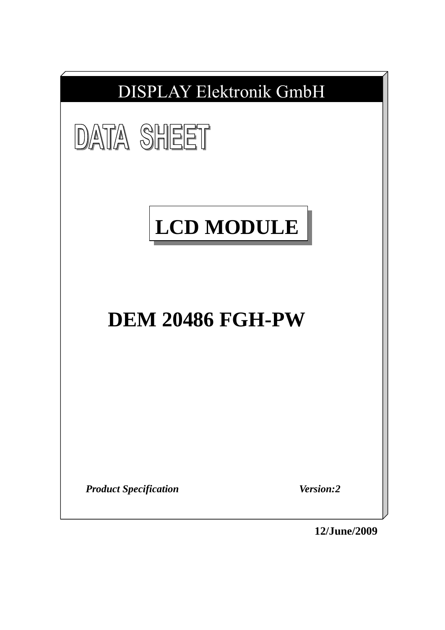

**12/June/2009**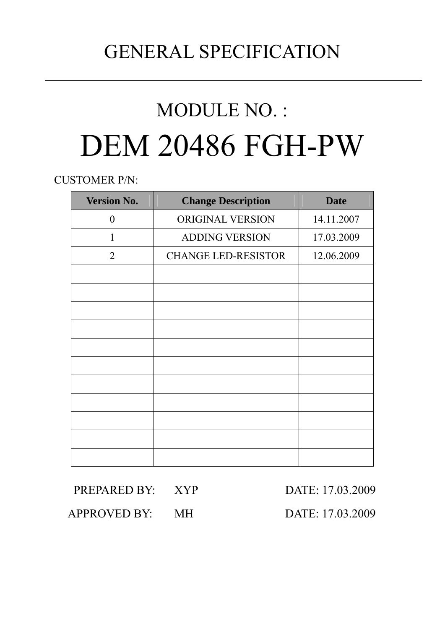# GENERAL SPECIFICATION

# MODULE NO. : DEM 20486 FGH-PW

CUSTOMER P/N:

| <b>Version No.</b> | <b>Change Description</b>  | <b>Date</b> |
|--------------------|----------------------------|-------------|
| $\boldsymbol{0}$   | <b>ORIGINAL VERSION</b>    | 14.11.2007  |
| 1                  | <b>ADDING VERSION</b>      | 17.03.2009  |
| 2                  | <b>CHANGE LED-RESISTOR</b> | 12.06.2009  |
|                    |                            |             |
|                    |                            |             |
|                    |                            |             |
|                    |                            |             |
|                    |                            |             |
|                    |                            |             |
|                    |                            |             |
|                    |                            |             |
|                    |                            |             |
|                    |                            |             |
|                    |                            |             |

| PREPARED BY: XYP | DATE: 17.03.2009 |
|------------------|------------------|
| APPROVED BY: MH  | DATE: 17.03.2009 |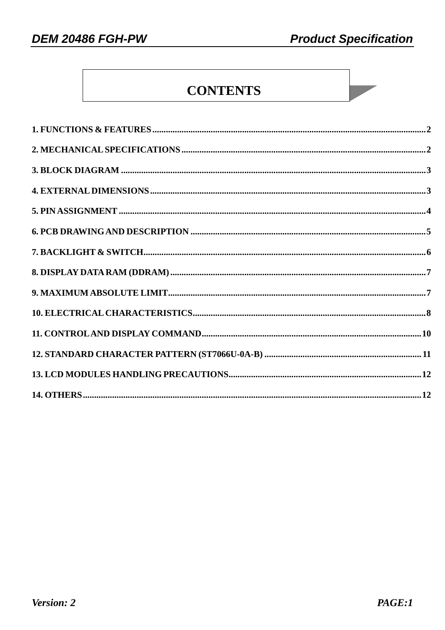# **CONTENTS**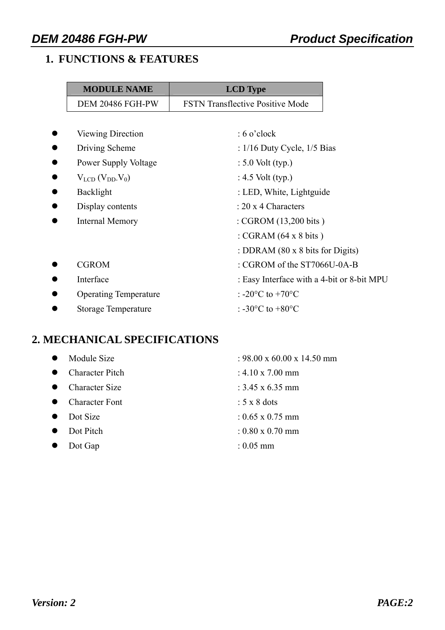# **1. FUNCTIONS & FEATURES**

| <b>MODULE NAME</b>           | <b>LCD</b> Type                                |
|------------------------------|------------------------------------------------|
| <b>DEM 20486 FGH-PW</b>      | <b>FSTN Transflective Positive Mode</b>        |
|                              |                                                |
| Viewing Direction            | $: 6$ o'clock                                  |
| Driving Scheme               | : $1/16$ Duty Cycle, $1/5$ Bias                |
| <b>Power Supply Voltage</b>  | $: 5.0$ Volt (typ.)                            |
| $V_{LCD} (V_{DD} V_0)$       | : $4.5$ Volt (typ.)                            |
| Backlight                    | : LED, White, Lightguide                       |
| Display contents             | $: 20 \times 4$ Characters                     |
| <b>Internal Memory</b>       | : CGROM (13,200 bits)                          |
|                              | : CGRAM $(64 \times 8 \text{ bits})$           |
|                              | : DDRAM $(80 \times 8)$ bits for Digits)       |
| <b>CGROM</b>                 | : CGROM of the ST7066U-0A-B                    |
| Interface                    | : Easy Interface with a 4-bit or 8-bit MPU     |
| <b>Operating Temperature</b> | : -20 $\rm{^{\circ}C}$ to +70 $\rm{^{\circ}C}$ |
| <b>Storage Temperature</b>   | : $-30^{\circ}$ C to $+80^{\circ}$ C           |
|                              |                                                |

# **2. MECHANICAL SPECIFICATIONS**

| <b>Character Pitch</b><br>: $4.10 \times 7.00 \text{ mm}$<br><b>Character Size</b><br>: $3.45 \times 6.35 \text{ mm}$<br>$\bullet$<br><b>Character Font</b><br>$: 5 \times 8$ dots<br>Dot Size<br>: $0.65 \times 0.75$ mm<br>Dot Pitch<br>$: 0.80 \times 0.70$ mm<br>$\bullet$<br>: $0.05 \text{ mm}$<br>Dot Gap | Module Size | : 98.00 x 60.00 x 14.50 mm |
|------------------------------------------------------------------------------------------------------------------------------------------------------------------------------------------------------------------------------------------------------------------------------------------------------------------|-------------|----------------------------|
|                                                                                                                                                                                                                                                                                                                  |             |                            |
|                                                                                                                                                                                                                                                                                                                  |             |                            |
|                                                                                                                                                                                                                                                                                                                  |             |                            |
|                                                                                                                                                                                                                                                                                                                  |             |                            |
|                                                                                                                                                                                                                                                                                                                  |             |                            |
|                                                                                                                                                                                                                                                                                                                  |             |                            |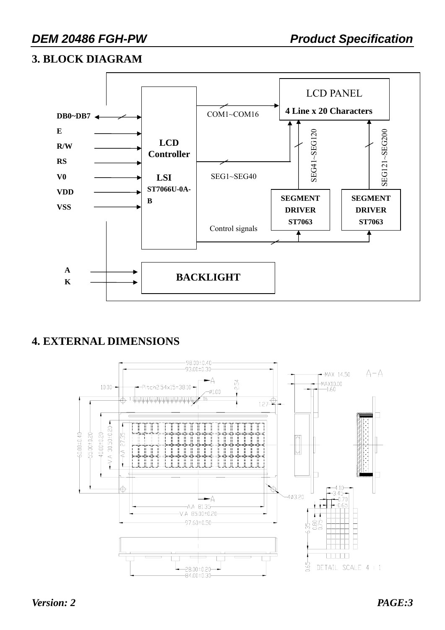### **3. BLOCK DIAGRAM**



# **4. EXTERNAL DIMENSIONS**

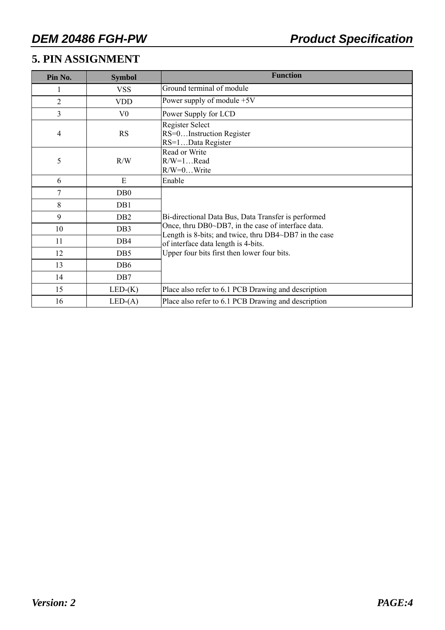# **5. PIN ASSIGNMENT**

| Pin No.        | <b>Symbol</b>    | <b>Function</b>                                                                                             |
|----------------|------------------|-------------------------------------------------------------------------------------------------------------|
|                | <b>VSS</b>       | Ground terminal of module                                                                                   |
| $\overline{2}$ | <b>VDD</b>       | Power supply of module $+5V$                                                                                |
| 3              | V <sub>0</sub>   | Power Supply for LCD                                                                                        |
| 4              | <b>RS</b>        | Register Select<br>RS=0Instruction Register<br>RS=1Data Register                                            |
| 5              | R/W              | Read or Write<br>$R/W=1$ Read<br>$R/W=0$ Write                                                              |
| 6              | E                | Enable                                                                                                      |
| 7              | D <sub>B</sub> 0 |                                                                                                             |
| 8              | DB1              |                                                                                                             |
| 9              | DB <sub>2</sub>  | Bi-directional Data Bus, Data Transfer is performed                                                         |
| 10             | DB <sub>3</sub>  | Once, thru DB0~DB7, in the case of interface data.<br>Length is 8-bits; and twice, thru DB4~DB7 in the case |
| 11             | DB4              | of interface data length is 4-bits.                                                                         |
| 12             | DB <sub>5</sub>  | Upper four bits first then lower four bits.                                                                 |
| 13             | DB <sub>6</sub>  |                                                                                                             |
| 14             | DB7              |                                                                                                             |
| 15             | $LED-(K)$        | Place also refer to 6.1 PCB Drawing and description                                                         |
| 16             | $LED-(A)$        | Place also refer to 6.1 PCB Drawing and description                                                         |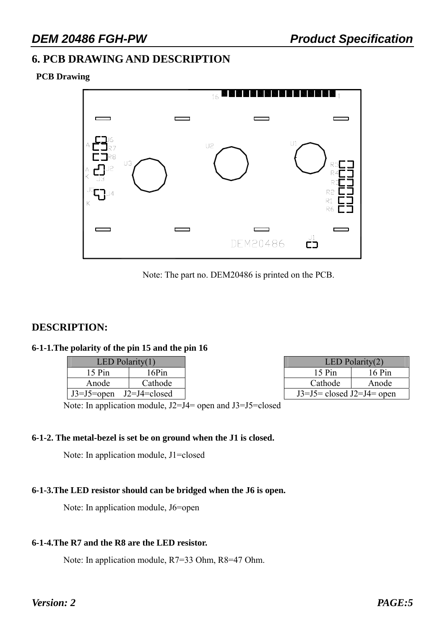### **6. PCB DRAWING AND DESCRIPTION**

#### **PCB Drawing**



Note: The part no. DEM20486 is printed on the PCB.

#### **DESCRIPTION:**

#### **6-1-1.The polarity of the pin 15 and the pin 16**

| LED Polarity $(1)$          |         |  |  |  |  |  |  |
|-----------------------------|---------|--|--|--|--|--|--|
| 15 Pin                      | 16Pin   |  |  |  |  |  |  |
| Anode                       | Cathode |  |  |  |  |  |  |
| $J3=J5=open$ $J2=J4=closed$ |         |  |  |  |  |  |  |

| LED Polarity $(1)$ |              |                               | LED Polarity $(2)$ |
|--------------------|--------------|-------------------------------|--------------------|
| 15 Pin             | 6Pin         | $15$ Pin                      | $16$ Pin           |
| Anode              | Cathode      | Cathode                       | Anode              |
| J3=J5=open         | J2=J4=closed | $J3=J5=$ closed $J2=J4=$ open |                    |

Note: In application module, J2=J4= open and J3=J5=closed

#### **6-1-2. The metal-bezel is set be on ground when the J1 is closed.**

Note: In application module, J1=closed

#### **6-1-3.The LED resistor should can be bridged when the J6 is open.**

Note: In application module, J6=open

#### **6-1-4.The R7 and the R8 are the LED resistor.**

Note: In application module, R7=33 Ohm, R8=47 Ohm.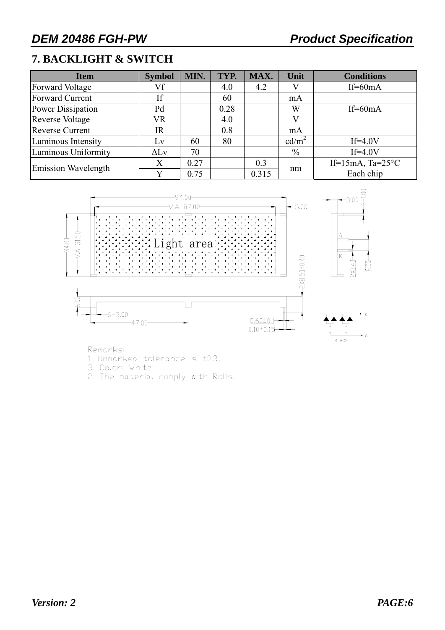# **7. BACKLIGHT & SWITCH**

| <b>Item</b>            | <b>Symbol</b> | MIN. | TYP. | MAX.  | Unit              | <b>Conditions</b>         |
|------------------------|---------------|------|------|-------|-------------------|---------------------------|
| Forward Voltage        | Vf            |      | 4.0  | 4.2   |                   | $If=60mA$                 |
| Forward Current        | If            |      | 60   |       | mA                |                           |
| Power Dissipation      | Pd            |      | 0.28 |       | W                 | If= $60mA$                |
| <b>Reverse Voltage</b> | <b>VR</b>     |      | 4.0  |       |                   |                           |
| <b>Reverse Current</b> | <b>IR</b>     |      | 0.8  |       | mA                |                           |
| Luminous Intensity     | Lv            | 60   | 80   |       | cd/m <sup>2</sup> | $If=4.0V$                 |
| Luminous Uniformity    | $\Delta$ Lv   | 70   |      |       | $\%$              | $If=4.0V$                 |
| Emission Wavelength    | X             | 0.27 |      | 0.3   |                   | If=15mA, $Ta=25^{\circ}C$ |
|                        |               | 0.75 |      | 0.315 | nm                | Each chip                 |



Remarks:

1. Unmarked tolerance is ±0.3,

3. Color: White<br>2. The material comply with RoHs.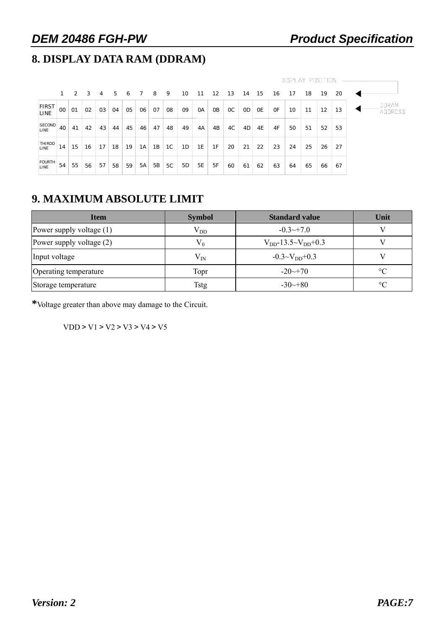# **8. DISPLAY DATA RAM (DDRAM)**

|                       |    |    |    |    |    |    |    |           |    |    |           |                |               |               |           |           | DISPLAY POSITION |    |    |    |  |       |         |
|-----------------------|----|----|----|----|----|----|----|-----------|----|----|-----------|----------------|---------------|---------------|-----------|-----------|------------------|----|----|----|--|-------|---------|
|                       |    | 2  | 3  | 4  | 5  | 6  |    | 8         | 9  | 10 | 11        | 12             | 13            | 14            | 15        | 16        | 17               | 18 | 19 | 20 |  |       |         |
| <b>FIRST</b><br>LINE  | 00 | 01 | 02 | 03 | 04 | 05 | 06 | 07        | 08 | 09 | <b>OA</b> | 0 <sub>B</sub> | <sub>OC</sub> | <sub>OD</sub> | <b>OE</b> | <b>OF</b> | 10               | 11 | 12 | 13 |  | DDRAM | ADDRESS |
| SECOND<br>LINE        | 40 | 41 | 42 | 43 | 44 | 45 | 46 | 47        | 48 | 49 | 4A        | 4B             | 4C            | 4D            | 4E        | 4F        | 50               | 51 | 52 | 53 |  |       |         |
| THIRDD<br><b>LINE</b> | 14 | 15 | 16 | 17 | 18 | 19 | 1A | 1B        | 1C | 1D | 1E        | 1F             | 20            | 21            | 22        | 23        | 24               | 25 | 26 | 27 |  |       |         |
| FOURTH<br>LINE        | 54 | 55 | 56 | 57 | 58 | 59 | 5A | <b>5B</b> | 5C | 5D | <b>5E</b> | 5F             | 60            | 61            | 62        | 63        | 64               | 65 | 66 | 67 |  |       |         |

# **9. MAXIMUM ABSOLUTE LIMIT**

| <b>Item</b>                | <b>Symbol</b> | <b>Standard value</b>         | Unit      |
|----------------------------|---------------|-------------------------------|-----------|
| Power supply voltage $(1)$ | $V_{DD}$      | $-0.3 \rightarrow 7.0$        |           |
| Power supply voltage (2)   | $V_0$         | $V_{DD}$ -13.5~ $V_{DD}$ +0.3 |           |
| Input voltage              | $V_{IN}$      | $-0.3 \sim V_{DD} + 0.3$      |           |
| Operating temperature      | Topr          | $-20 \rightarrow 70$          | $\circ$ C |
| Storage temperature        | <b>Tstg</b>   | $-30 \rightarrow 80$          | $\circ$   |

**\***Voltage greater than above may damage to the Circuit.

VDD > V1 > V2 > V3 > V4 > V5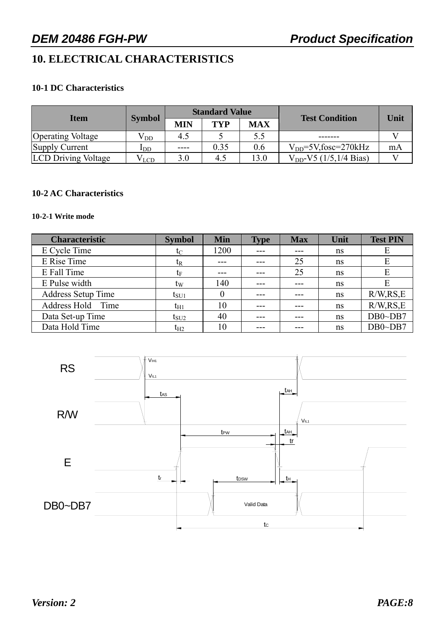# **10. ELECTRICAL CHARACTERISTICS**

#### **10-1 DC Characteristics**

|                            |               |      | <b>Standard Value</b> |            |                              |      |  |
|----------------------------|---------------|------|-----------------------|------------|------------------------------|------|--|
| <b>Item</b>                | <b>Symbol</b> | MIN  | TYP                   | <b>MAX</b> | <b>Test Condition</b>        | Unit |  |
| <b>Operating Voltage</b>   | $\rm V_{DD}$  | 4.5  |                       | 5.5        |                              |      |  |
| Supply Current             | IDD           | ---- | 0.35                  | 0.6        | $V_{DD} = 5V$ , fosc=270 kHz | mA   |  |
| <b>LCD Driving Voltage</b> | V l.CD        | 3.0  | 4.5                   | 13.0       | $V_{DD}$ -V5 (1/5,1/4 Bias)  |      |  |

#### **10-2 AC Characteristics**

#### **10-2-1 Write mode**

| <b>Characteristic</b>     | <b>Symbol</b> | <b>Min</b> | <b>Type</b> | <b>Max</b> | Unit | <b>Test PIN</b> |
|---------------------------|---------------|------------|-------------|------------|------|-----------------|
| E Cycle Time              | $t_C$         | 1200       |             |            | ns   | E               |
| E Rise Time               | $t_{R}$       |            |             | 25         | ns   | E               |
| E Fall Time               | te            | ---        |             | 25         | ns   | E               |
| E Pulse width             | $t_{\rm W}$   | 140        | ---         | ---        | ns   | E               |
| <b>Address Setup Time</b> | $t_{\rm SU1}$ |            | ---         |            | ns   | R/W, RS, E      |
| Address Hold Time         | $t_{H1}$      | 10         | ---         |            | ns   | R/W, RS, E      |
| Data Set-up Time          | $t_{\rm SU2}$ | 40         | ---         |            | ns   | $DB0\neg DB7$   |
| Data Hold Time            | $t_{H2}$      | 10         |             |            | ns   | $DB0\neg DB7$   |

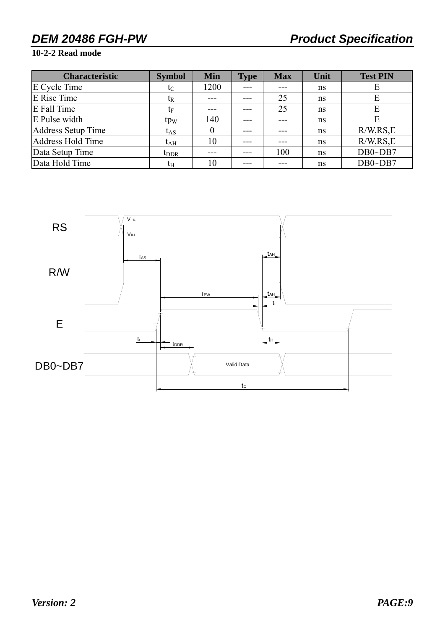#### **10-2-2 Read mode**

| <b>Characteristic</b> | <b>Symbol</b>    | <b>Min</b> | <b>Type</b> | <b>Max</b> | Unit | <b>Test PIN</b> |
|-----------------------|------------------|------------|-------------|------------|------|-----------------|
| E Cycle Time          | $t_C$            | 1200       | ---         |            | ns   | E               |
| E Rise Time           | t <sub>R</sub>   |            |             | 25         | ns   | E               |
| E Fall Time           | $\mathrm{t_{F}}$ |            |             | 25         | ns   | E               |
| E Pulse width         | tp <sub>w</sub>  | 140        |             |            | ns   | E               |
| Address Setup Time    | $t_{AS}$         |            |             |            | ns   | R/W, RS, E      |
| Address Hold Time     | $t_{\rm AH}$     | 10         |             |            | ns   | R/W, RS, E      |
| Data Setup Time       | $t_{\rm DDR}$    |            |             | 100        | ns   | $DB0\neg DB7$   |
| Data Hold Time        | $t_{\rm H}$      | 10         |             |            | ns   | $DB0\neg DB7$   |

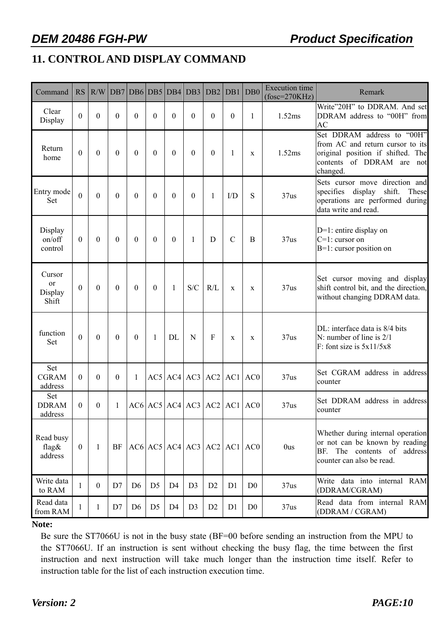# **11. CONTROL AND DISPLAY COMMAND**

| Command                                     | <b>RS</b>      | R/W              |                  | DB7 DB6 DB5    |                | DB4            | DB3                           | DB <sub>2</sub> | DB1           | DB <sub>0</sub> | <b>Execution</b> time<br>$(fose=270KHz)$ | Remark                                                                                                                                          |
|---------------------------------------------|----------------|------------------|------------------|----------------|----------------|----------------|-------------------------------|-----------------|---------------|-----------------|------------------------------------------|-------------------------------------------------------------------------------------------------------------------------------------------------|
| Clear<br>Display                            | $\mathbf{0}$   | $\theta$         | $\overline{0}$   | $\theta$       | $\theta$       | $\Omega$       | $\theta$                      | $\theta$        | $\theta$      | 1               | 1.52ms                                   | Write"20H" to DDRAM. And set<br>DDRAM address to "00H" from<br><b>AC</b>                                                                        |
| Return<br>home                              | $\mathbf{0}$   | $\theta$         | $\mathbf{0}$     | $\mathbf{0}$   | $\theta$       | $\theta$       | $\theta$                      | $\theta$        | 1             | $\mathbf X$     | 1.52ms                                   | Set DDRAM address to "00H"<br>from AC and return cursor to its<br>original position if shifted. The<br>contents of DDRAM are<br>not<br>changed. |
| Entry mode<br><b>Set</b>                    | $\overline{0}$ | $\mathbf{0}$     | $\mathbf{0}$     | $\theta$       | $\Omega$       | $\theta$       | $\theta$                      | 1               | I/D           | S               | 37us                                     | Sets cursor move direction and<br>specifies display<br>shift.<br>These<br>operations are performed during<br>data write and read.               |
| Display<br>on/off<br>control                | $\mathbf{0}$   | $\boldsymbol{0}$ | $\boldsymbol{0}$ | $\mathbf{0}$   | $\theta$       | $\mathbf{0}$   | $\mathbf{1}$                  | D               | $\mathcal{C}$ | B               | 37us                                     | $D=1$ : entire display on<br>$C=1$ : cursor on<br>$B=1$ : cursor position on                                                                    |
| Cursor<br><sub>or</sub><br>Display<br>Shift | $\mathbf{0}$   | $\theta$         | $\boldsymbol{0}$ | $\mathbf{0}$   | $\theta$       | 1              | S/C                           | R/L             | $\mathbf X$   | $\mathbf X$     | 37us                                     | Set cursor moving and display<br>shift control bit, and the direction,<br>without changing DDRAM data.                                          |
| function<br>Set                             | $\mathbf{0}$   | $\theta$         | $\boldsymbol{0}$ | $\mathbf{0}$   | $\mathbf{1}$   | <b>DL</b>      | N                             | F               | X             | $\mathbf{X}$    | 37us                                     | DL: interface data is 8/4 bits<br>N: number of line is $2/1$<br>F: font size is $5x11/5x8$                                                      |
| Set<br><b>CGRAM</b><br>address              | $\mathbf{0}$   | $\boldsymbol{0}$ | $\mathbf{0}$     | 1              |                |                | $AC5$ $AC4$ $AC3$ $AC2$       |                 | AC1           | AC0             | 37us                                     | Set CGRAM address in address<br>counter                                                                                                         |
| Set<br><b>DDRAM</b><br>address              | $\theta$       | $\boldsymbol{0}$ | 1                |                |                |                | $AC6$ $AC5$ $AC4$ $AC3$ $AC2$ |                 | AC1           | AC0             | 37us                                     | Set DDRAM address in address<br>counter                                                                                                         |
| Read busy<br>flag $\&$<br>address           | $\mathbf{0}$   | $\mathbf{1}$     | BF               |                |                |                | $AC6$ $AC5$ $AC4$ $AC3$ $AC2$ |                 |               | AC1 AC0         | 0us                                      | Whether during internal operation<br>or not can be known by reading<br>The contents of address<br>BF.<br>counter can also be read.              |
| Write data<br>to RAM                        | 1              | $\boldsymbol{0}$ | D7               | D <sub>6</sub> | D <sub>5</sub> | D <sub>4</sub> | D <sub>3</sub>                | D <sub>2</sub>  | D1            | D <sub>0</sub>  | 37us                                     | Write data into internal RAM<br>(DDRAM/CGRAM)                                                                                                   |
| Read data<br>from RAM                       | 1              | $\mathbf{1}$     | D7               | D <sub>6</sub> | D <sub>5</sub> | D <sub>4</sub> | D <sub>3</sub>                | D <sub>2</sub>  | D1            | D <sub>0</sub>  | 37 <sub>us</sub>                         | Read data from internal RAM<br>(DDRAM / CGRAM)                                                                                                  |

#### **Note:**

Be sure the ST7066U is not in the busy state (BF=00 before sending an instruction from the MPU to the ST7066U. If an instruction is sent without checking the busy flag, the time between the first instruction and next instruction will take much longer than the instruction time itself. Refer to instruction table for the list of each instruction execution time.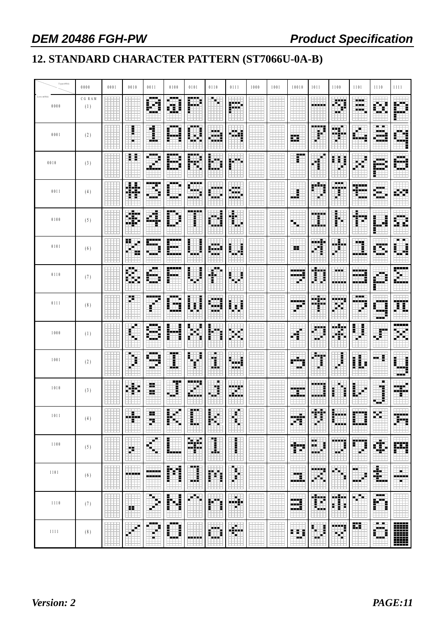# **12. STANDARD CHARACTER PATTERN (ST7066U-0A-B)**

| Upper(4bit)                                                | 0000         | 0001 | 0010          | 0011                         | 0100                 | 0101               | 0110             | 0111               | 1000 | 1001 | 10010         | 1011                     | 1100                    | 1101                | 1110                                | 1111                  |
|------------------------------------------------------------|--------------|------|---------------|------------------------------|----------------------|--------------------|------------------|--------------------|------|------|---------------|--------------------------|-------------------------|---------------------|-------------------------------------|-----------------------|
| $\texttt{Low} \texttt{em}(\texttt{4}\texttt{bit})$<br>0000 | CGRAM<br>(1) |      |               | <br>M                        | 郿                    | H                  | 酮                | الأبابي<br>医中国     |      |      |               | -----                    | H                       | ---<br>33 H<br>---  | Ŧ.                                  | 麒麟                    |
| 0001                                                       | (2)          |      | t             | Í                            | ---                  | 医胃炎<br>İ<br>ш      | æ                | 鼬                  |      |      | 瞴             | -----<br>i               | m<br><b>SHILL</b>       | alah                | <b>ALC 198</b><br>- -<br><br>alah s |                       |
| 0010                                                       | (3)          |      | ă E           | $\qquad \qquad \blacksquare$ | ---                  | 團                  | H                | 睜                  |      |      | Ħ             | ₽                        | H<br>88                 | п<br>н              | alah s                              |                       |
| 0011                                                       | (4)          |      | ₩             | Ш.                           | i                    | .                  |                  | 33 H<br>ш.<br>---- |      |      | Ē             | H                        | ---<br>----             | ,,,,,,<br>5.<br>ш,  | .<br>a at<br>-94                    |                       |
| 0100                                                       | (5)          |      | 畫             | H.                           | I                    | -----<br>Î         | жă               | Ŧ                  |      |      | $\Rightarrow$ | 22522<br>÷.              | i.<br>ы                 | m                   | ă                                   | B<br>ī.               |
| 0101                                                       | (6)          |      | ÷<br>Ļ.<br>×. | -----<br>Essa d              | 麗                    | ┋                  | <br>評評<br>ala al | Ē                  |      |      | 88            | 4<br>---                 | <b>SHIP</b>             | Ħ                   | 瑡                                   | 鼺                     |
| 0110                                                       | (7)          |      | <b>FR</b>     | ш<br>En els                  |                      | $\frac{1}{2}$      | H<br>ē.          | š                  |      |      | ----          | 躙                        | <b>FREE</b><br>----     | .                   |                                     |                       |
| 0111                                                       | (8)          |      | Ť.            | ----                         | ---<br><b>A 6 6</b>  | Ē<br>ľ<br>Ħ        | H<br>والمام      | Ħ.                 |      |      | .<br>Ħ        | <br>-----                | W                       | ---<br>alah sa<br>m | a pro                               | Đ                     |
| 1000                                                       | (1)          |      | $\oplus$      | 医原理<br>İ<br>œ.<br>ᄨ          | H                    | E<br>E<br>۰.<br>E. | Ē<br>医胃<br>Ŧ     | m                  |      |      | н<br>9        | H<br>- 3                 | ----<br>軸               | Ē<br>I.             | 溝                                   | -----<br>W            |
| 1001                                                       | (2)          |      | 隼             | $\blacksquare$<br>53<br>- -  | I                    | E<br>Е             | 重                | a ala<br>a a a     |      |      |               | Ħ                        | F                       | H<br>I              | E<br>н.                             | W<br>E                |
| 1010                                                       | (3)          |      | Η.            | 85<br>99                     | 事                    | <br>€<br>فارتباط   | m.<br>Ħ          | 龖                  |      |      | -----         | निष्णु                   | Ē                       | İ<br>₽              | п<br>Ï<br>۳                         | ₩.                    |
| 1011                                                       | (4)          |      | ×.<br>÷.      | ы.<br>Ħ                      | E<br>Ë<br>п          | æ<br>H             | Е<br>m           | UT.<br>ቈ           |      |      | TI.           | æ                        | Е<br>E<br><b>MARKET</b> | 鼺                   |                                     | m                     |
| 1100                                                       | (5)          |      | Ħ             | a,                           | E                    | ÷                  | H                | i                  |      |      | Ħ             | laini)<br>đ.<br>н.<br>ы. | 讕                       | Ħ                   | 矔                                   | 膷                     |
| 1101                                                       | (6)          |      | -----         | -----<br>-222                | Ħ                    | ang.<br>H          | 鬬                | T.                 |      |      | Ш.            | m<br>Ŧ.                  | J.                      | н.<br>---           | 嚸                                   | шn<br>- - - - -<br>нu |
| 1110                                                       | (7)          |      | 22            | Ŧ.                           | i<br>!<br>犁          | 用                  | d.               | Ħ                  |      |      | 驧<br>الأفاعاء | Ħ                        | 躢                       | m,                  | <br>71<br>١                         |                       |
| 1111                                                       | (8)          |      | €             | أسبب                         | ---<br>Ī<br>Ē<br>- - | <b>Andrew</b>      | ۳                | H.                 |      |      | Ŧ.<br>ŧ       | Ē<br>۳                   | 剰<br>н                  | H.                  | <b>BLUE</b><br>an a<br>E<br>a.      |                       |